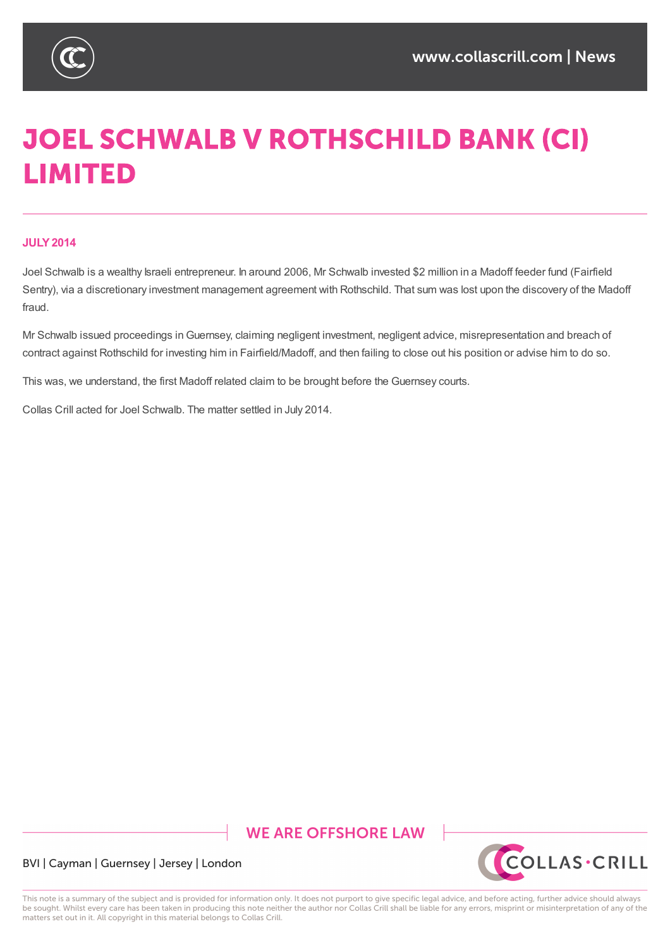

# **JOEL SCHWALB V ROTHSCHILD BANK (CI) LIMITED**

#### **JULY2014**

Joel Schwalb is a wealthy Israeli entrepreneur. In around 2006, Mr Schwalb invested \$2 million in a Madoff feeder fund (Fairfield Sentry), via a discretionary investment management agreement with Rothschild. That sum was lost upon the discovery of the Madoff fraud.

Mr Schwalb issued proceedings inGuernsey, claiming negligent investment, negligent advice, misrepresentation and breach of contract against Rothschild for investing him in Fairfield/Madoff, and then failing to close out his position or advise him to do so.

This was, we understand, the first Madoff related claim to be brought before the Guernsey courts.

Collas Crill acted for Joel Schwalb. The matter settled in July 2014.

## **WE ARE OFFSHORE LAW**



#### BVI | Cayman | Guernsey | Jersey | London

This note is a summary of the subject and is provided for information only. It does not purport to give specific legal advice, and before acting, further advice should always be sought. Whilst every care has been taken in producing this note neither the author nor Collas Crill shall be liable for any errors, misprint or misinterpretation of any of the matters set out in it. All copyright in this material belongs to Collas Crill.